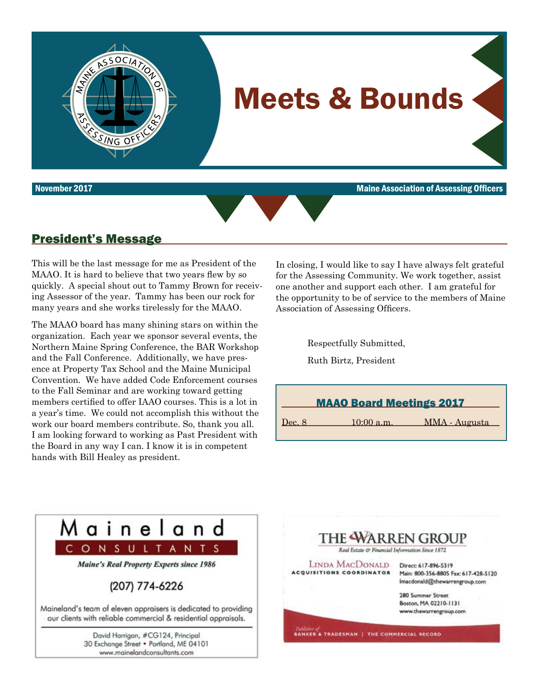

November 2017 Maine Association of Assessing Officers



### President's Message

This will be the last message for me as President of the MAAO. It is hard to believe that two years flew by so quickly. A special shout out to Tammy Brown for receiving Assessor of the year. Tammy has been our rock for many years and she works tirelessly for the MAAO.

The MAAO board has many shining stars on within the organization. Each year we sponsor several events, the Northern Maine Spring Conference, the BAR Workshop and the Fall Conference. Additionally, we have presence at Property Tax School and the Maine Municipal Convention. We have added Code Enforcement courses to the Fall Seminar and are working toward getting members certified to offer IAAO courses. This is a lot in a year's time. We could not accomplish this without the work our board members contribute. So, thank you all. I am looking forward to working as Past President with the Board in any way I can. I know it is in competent hands with Bill Healey as president.

In closing, I would like to say I have always felt grateful for the Assessing Community. We work together, assist one another and support each other. I am grateful for the opportunity to be of service to the members of Maine Association of Assessing Officers.

> Respectfully Submitted, Ruth Birtz, President

| <b>MAAO Board Meetings 2017</b> |              |               |  |  |  |  |  |
|---------------------------------|--------------|---------------|--|--|--|--|--|
| Dec. 8                          | $10:00$ a.m. | MMA - Augusta |  |  |  |  |  |



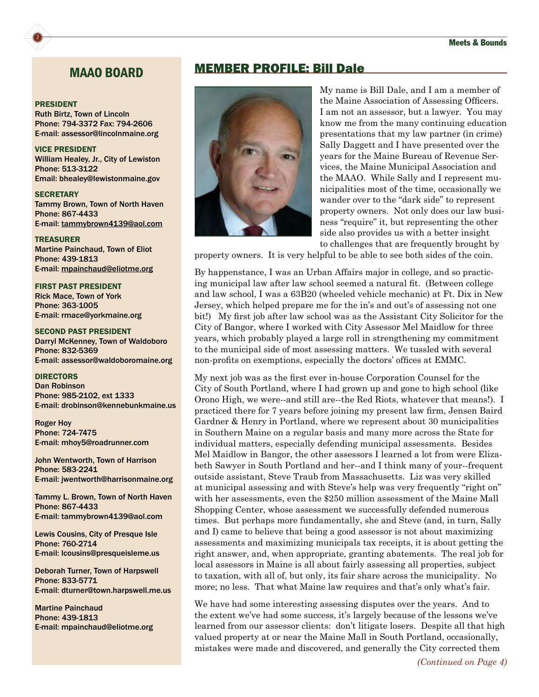### MAAO BOARD

#### PRESIDENT

2

Ruth Birtz, Town of Lincoln Phone: 794-3372 Fax: 794-2606 E-mail: [assessor@lincolnmaine.org](mailto:assessor@lincolnmaine.org)

VICE PRESIDENT William Healey, Jr., City of Lewiston Phone: 513-3122 Email: [bhealey@lewistonmaine.gov](mailto:bhealey@lewistonmaine.gov)

**SECRETARY** Tammy Brown, Town of North Haven Phone: 867-4433 E-mail: [tammybrown4139@aol.com](mailto:tammybrown4139@aol.com)

TREASURER Martine Painchaud, Town of Eliot Phone: 439-1813 E-mail: [mpainchaud@eliotme.org](mailto:mpainchaud@eliotme.org)

FIRST PAST PRESIDENT Rick Mace, Town of York Phone: 363-1005 E-mail: [rmace@yorkmaine.org](mailto:rmace@yorkmaine.org)

SECOND PAST PRESIDENT Darryl McKenney, Town of Waldoboro Phone: 832-5369 E-mail: [assessor@waldoboromaine.org](mailto:assessor@waldoboromaine.org)

**DIRECTORS** Dan Robinson Phone: 985-2102, ext 1333 E-mail: [drobinson@kennebunkmaine.us](mailto:drobinson@kennebunkmaine.us)

Roger Hoy Phone: 724-7475 E-mail: [mhoy5@roadrunner.com](mailto:mhoy5@roadrunner.com)

John Wentworth, Town of Harrison Phone: 583-2241 E-mail: [jwentworth@harrisonmaine.org](mailto:jwentworth@harrisonmaine.org)

Tammy L. Brown, Town of North Haven Phone: 867-4433 E-mail: [tammybrown4139@aol.com](mailto:tammybrown4139@aol.com)

Lewis Cousins, City of Presque Isle Phone: 760-2714 E-mail: [lcousins@presqueisleme.us](mailto:lcousins@presqueisleme.us)

Deborah Turner, Town of Harpswell Phone: 833-5771 E-mail: [dturner@town.harpswell.me.us](mailto:dturner@town.harpswell.me.us)

Martine Painchaud Phone: 439-1813 E-mail: mpainchaud@eliotme.org

### MEMBER PROFILE: Bill Dale



My name is Bill Dale, and I am a member of the Maine Association of Assessing Officers. I am not an assessor, but a lawyer. You may know me from the many continuing education presentations that my law partner (in crime) Sally Daggett and I have presented over the years for the Maine Bureau of Revenue Services, the Maine Municipal Association and the MAAO. While Sally and I represent municipalities most of the time, occasionally we wander over to the "dark side" to represent property owners. Not only does our law business "require" it, but representing the other side also provides us with a better insight to challenges that are frequently brought by

property owners. It is very helpful to be able to see both sides of the coin.

By happenstance, I was an Urban Affairs major in college, and so practicing municipal law after law school seemed a natural fit. (Between college and law school, I was a 63B20 (wheeled vehicle mechanic) at Ft. Dix in New Jersey, which helped prepare me for the in's and out's of assessing not one bit!) My first job after law school was as the Assistant City Solicitor for the City of Bangor, where I worked with City Assessor Mel Maidlow for three years, which probably played a large roll in strengthening my commitment to the municipal side of most assessing matters. We tussled with several non-profits on exemptions, especially the doctors' offices at EMMC.

My next job was as the first ever in-house Corporation Counsel for the City of South Portland, where I had grown up and gone to high school (like Orono High, we were--and still are--the Red Riots, whatever that means!). I practiced there for 7 years before joining my present law firm, Jensen Baird Gardner & Henry in Portland, where we represent about 30 municipalities in Southern Maine on a regular basis and many more across the State for individual matters, especially defending municipal assessments. Besides Mel Maidlow in Bangor, the other assessors I learned a lot from were Elizabeth Sawyer in South Portland and her--and I think many of your--frequent outside assistant, Steve Traub from Massachusetts. Liz was very skilled at municipal assessing and with Steve's help was very frequently "right on" with her assessments, even the \$250 million assessment of the Maine Mall Shopping Center, whose assessment we successfully defended numerous times. But perhaps more fundamentally, she and Steve (and, in turn, Sally and I) came to believe that being a good assessor is not about maximizing assessments and maximizing municipals tax receipts, it is about getting the right answer, and, when appropriate, granting abatements. The real job for local assessors in Maine is all about fairly assessing all properties, subject to taxation, with all of, but only, its fair share across the municipality. No more; no less. That what Maine law requires and that's only what's fair.

We have had some interesting assessing disputes over the years. And to the extent we've had some success, it's largely because of the lessons we've learned from our assessor clients: don't litigate losers. Despite all that high valued property at or near the Maine Mall in South Portland, occasionally, mistakes were made and discovered, and generally the City corrected them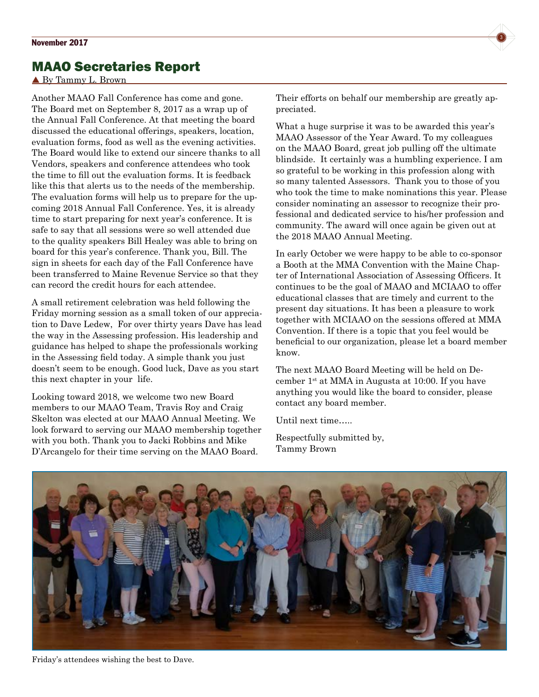## MAAO Secretaries Report

By Tammy L. Brown

Another MAAO Fall Conference has come and gone. The Board met on September 8, 2017 as a wrap up of the Annual Fall Conference. At that meeting the board discussed the educational offerings, speakers, location, evaluation forms, food as well as the evening activities. The Board would like to extend our sincere thanks to all Vendors, speakers and conference attendees who took the time to fill out the evaluation forms. It is feedback like this that alerts us to the needs of the membership. The evaluation forms will help us to prepare for the upcoming 2018 Annual Fall Conference. Yes, it is already time to start preparing for next year's conference. It is safe to say that all sessions were so well attended due to the quality speakers Bill Healey was able to bring on board for this year's conference. Thank you, Bill. The sign in sheets for each day of the Fall Conference have been transferred to Maine Revenue Service so that they can record the credit hours for each attendee.

A small retirement celebration was held following the Friday morning session as a small token of our appreciation to Dave Ledew, For over thirty years Dave has lead the way in the Assessing profession. His leadership and guidance has helped to shape the professionals working in the Assessing field today. A simple thank you just doesn't seem to be enough. Good luck, Dave as you start this next chapter in your life.

Looking toward 2018, we welcome two new Board members to our MAAO Team, Travis Roy and Craig Skelton was elected at our MAAO Annual Meeting. We look forward to serving our MAAO membership together with you both. Thank you to Jacki Robbins and Mike D'Arcangelo for their time serving on the MAAO Board.

Their efforts on behalf our membership are greatly appreciated.

What a huge surprise it was to be awarded this year's MAAO Assessor of the Year Award. To my colleagues on the MAAO Board, great job pulling off the ultimate blindside. It certainly was a humbling experience. I am so grateful to be working in this profession along with so many talented Assessors. Thank you to those of you who took the time to make nominations this year. Please consider nominating an assessor to recognize their professional and dedicated service to his/her profession and community. The award will once again be given out at the 2018 MAAO Annual Meeting.

In early October we were happy to be able to co-sponsor a Booth at the MMA Convention with the Maine Chapter of International Association of Assessing Officers. It continues to be the goal of MAAO and MCIAAO to offer educational classes that are timely and current to the present day situations. It has been a pleasure to work together with MCIAAO on the sessions offered at MMA Convention. If there is a topic that you feel would be beneficial to our organization, please let a board member know.

The next MAAO Board Meeting will be held on December  $1<sup>st</sup>$  at MMA in Augusta at 10:00. If you have anything you would like the board to consider, please contact any board member.

Until next time…..

Respectfully submitted by, Tammy Brown



Friday's attendees wishing the best to Dave.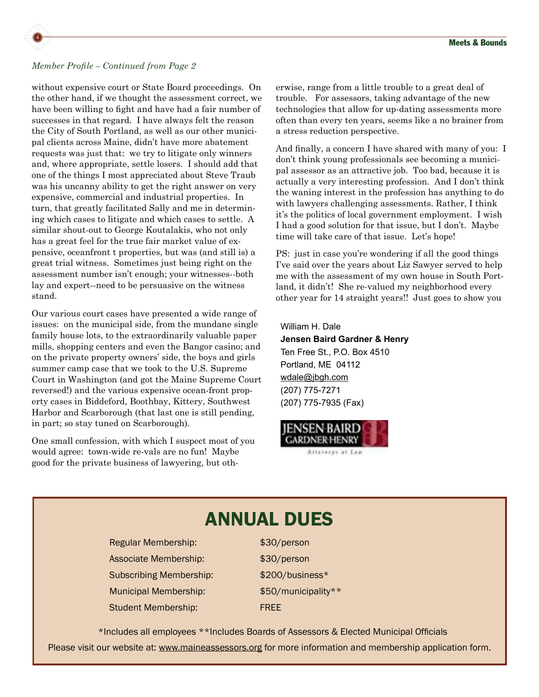

### *Member Profile – Continued from Page 2*

without expensive court or State Board proceedings. On the other hand, if we thought the assessment correct, we have been willing to fight and have had a fair number of successes in that regard. I have always felt the reason the City of South Portland, as well as our other municipal clients across Maine, didn't have more abatement requests was just that: we try to litigate only winners and, where appropriate, settle losers. I should add that one of the things I most appreciated about Steve Traub was his uncanny ability to get the right answer on very expensive, commercial and industrial properties. In turn, that greatly facilitated Sally and me in determining which cases to litigate and which cases to settle. A similar shout-out to George Koutalakis, who not only has a great feel for the true fair market value of expensive, oceanfront t properties, but was (and still is) a great trial witness. Sometimes just being right on the assessment number isn't enough; your witnesses--both lay and expert--need to be persuasive on the witness stand.

Our various court cases have presented a wide range of issues: on the municipal side, from the mundane single family house lots, to the extraordinarily valuable paper mills, shopping centers and even the Bangor casino; and on the private property owners' side, the boys and girls summer camp case that we took to the U.S. Supreme Court in Washington (and got the Maine Supreme Court reversed!) and the various expensive ocean-front property cases in Biddeford, Boothbay, Kittery, Southwest Harbor and Scarborough (that last one is still pending, in part; so stay tuned on Scarborough).

One small confession, with which I suspect most of you would agree: town-wide re-vals are no fun! Maybe good for the private business of lawyering, but otherwise, range from a little trouble to a great deal of trouble. For assessors, taking advantage of the new technologies that allow for up-dating assessments more often than every ten years, seems like a no brainer from a stress reduction perspective.

And finally, a concern I have shared with many of you: I don't think young professionals see becoming a municipal assessor as an attractive job. Too bad, because it is actually a very interesting profession. And I don't think the waning interest in the profession has anything to do with lawyers challenging assessments. Rather, I think it's the politics of local government employment. I wish I had a good solution for that issue, but I don't. Maybe time will take care of that issue. Let's hope!

PS: just in case you're wondering if all the good things I've said over the years about Liz Sawyer served to help me with the assessment of my own house in South Portland, it didn't! She re-valued my neighborhood every other year for 14 straight years!! Just goes to show you

William H. Dale **Jensen Baird Gardner & Henry** Ten Free St., P.O. Box 4510 Portland, ME 04112 [wdale@jbgh.com](mailto:wdale@jbgh.com) (207) 775-7271 (207) 775-7935 (Fax)



Attaracy's at Law

## ANNUAL DUES Regular Membership:  $$30/person$ Associate Membership:  $$30/person$ Subscribing Membership:  $$200/b$ usiness\* Municipal Membership:  $$50/m$ unicipality\*\* Student Membership: FREE \*Includes all employees \*\*Includes Boards of Assessors & Elected Municipal Officials Please visit our website at: <www.maineassessors.org>for more information and membership application form.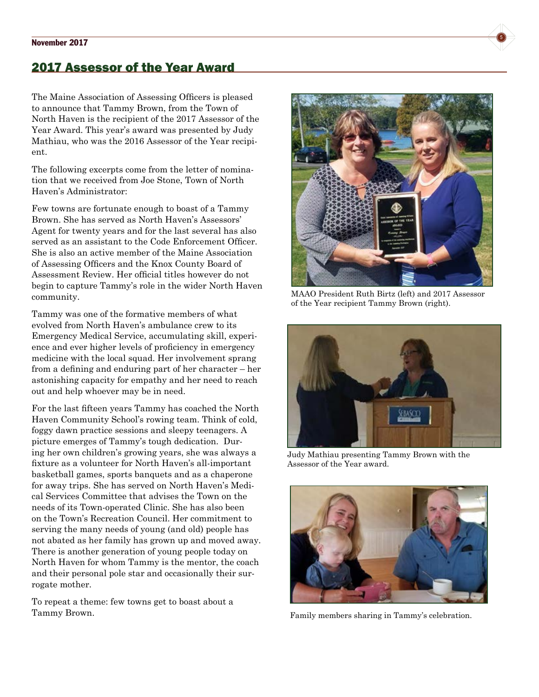## 2017 Assessor of the Year Award

The Maine Association of Assessing Officers is pleased to announce that Tammy Brown, from the Town of North Haven is the recipient of the 2017 Assessor of the Year Award. This year's award was presented by Judy Mathiau, who was the 2016 Assessor of the Year recipient.

The following excerpts come from the letter of nomination that we received from Joe Stone, Town of North Haven's Administrator:

Few towns are fortunate enough to boast of a Tammy Brown. She has served as North Haven's Assessors' Agent for twenty years and for the last several has also served as an assistant to the Code Enforcement Officer. She is also an active member of the Maine Association of Assessing Officers and the Knox County Board of Assessment Review. Her official titles however do not begin to capture Tammy's role in the wider North Haven community.

Tammy was one of the formative members of what evolved from North Haven's ambulance crew to its Emergency Medical Service, accumulating skill, experience and ever higher levels of proficiency in emergency medicine with the local squad. Her involvement sprang from a defining and enduring part of her character – her astonishing capacity for empathy and her need to reach out and help whoever may be in need.

For the last fifteen years Tammy has coached the North Haven Community School's rowing team. Think of cold, foggy dawn practice sessions and sleepy teenagers. A picture emerges of Tammy's tough dedication. During her own children's growing years, she was always a fixture as a volunteer for North Haven's all-important basketball games, sports banquets and as a chaperone for away trips. She has served on North Haven's Medical Services Committee that advises the Town on the needs of its Town-operated Clinic. She has also been on the Town's Recreation Council. Her commitment to serving the many needs of young (and old) people has not abated as her family has grown up and moved away. There is another generation of young people today on North Haven for whom Tammy is the mentor, the coach and their personal pole star and occasionally their surrogate mother.

To repeat a theme: few towns get to boast about a Tammy Brown.



MAAO President Ruth Birtz (left) and 2017 Assessor of the Year recipient Tammy Brown (right).



Judy Mathiau presenting Tammy Brown with the Assessor of the Year award.



Family members sharing in Tammy's celebration.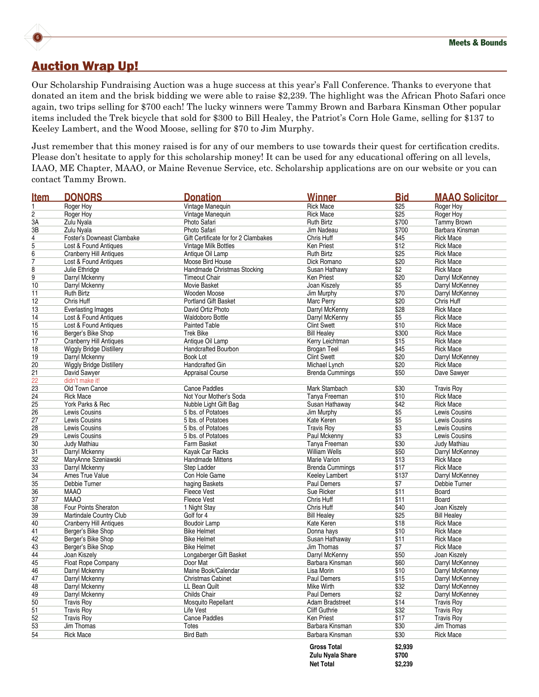

### Auction Wrap Up!

Our Scholarship Fundraising Auction was a huge success at this year's Fall Conference. Thanks to everyone that donated an item and the brisk bidding we were able to raise \$2,239. The highlight was the African Photo Safari once again, two trips selling for \$700 each! The lucky winners were Tammy Brown and Barbara Kinsman Other popular items included the Trek bicycle that sold for \$300 to Bill Healey, the Patriot's Corn Hole Game, selling for \$137 to Keeley Lambert, and the Wood Moose, selling for \$70 to Jim Murphy.

Just remember that this money raised is for any of our members to use towards their quest for certification credits. Please don't hesitate to apply for this scholarship money! It can be used for any educational offering on all levels, IAAO, ME Chapter, MAAO, or Maine Revenue Service, etc. Scholarship applications are on our website or you can contact Tammy Brown.

| <u>Item</u>     | <b>DONORS</b>                   | <b>Donation</b>                      | <b>Winner</b>          | <b>Bid</b>      | <b>MAAO Solicitor</b> |
|-----------------|---------------------------------|--------------------------------------|------------------------|-----------------|-----------------------|
| 1               | Roger Hoy                       | Vintage Manequin                     | <b>Rick Mace</b>       | \$25            | Roger Hoy             |
| 2               | Roger Hov                       | Vintage Manequin                     | <b>Rick Mace</b>       | \$25            | Roger Hoy             |
| 3A              | Zulu Nyala                      | Photo Safari                         | <b>Ruth Birtz</b>      | \$700           | <b>Tammy Brown</b>    |
| 3B              | Zulu Nyala                      | Photo Safari                         | Jim Nadeau             | \$700           | Barbara Kinsman       |
| 4               | Foster's Downeast Clambake      | Gift Certificate for for 2 Clambakes | Chris Huff             | \$45            | <b>Rick Mace</b>      |
| 5               | Lost & Found Antiques           | Vintage Milk Bottles                 | <b>Ken Priest</b>      | \$12            | <b>Rick Mace</b>      |
| $\overline{6}$  | <b>Cranberry Hill Antiques</b>  | Antique Oil Lamp                     | <b>Ruth Birtz</b>      | \$25            | <b>Rick Mace</b>      |
| $\overline{7}$  | Lost & Found Antiques           | Moose Bird House                     | Dick Romano            | \$20            | <b>Rick Mace</b>      |
| 8               | Julie Ethridge                  | Handmade Christmas Stocking          | Susan Hathawy          | \$2             | <b>Rick Mace</b>      |
| 9               | Darryl Mckenny                  | <b>Timeout Chair</b>                 | Ken Priest             | \$20            | Darryl McKenney       |
| 10              | Darryl Mckenny                  | Movie Basket                         | Joan Kiszely           | \$5             | Darryl McKenney       |
| 11              | <b>Ruth Birtz</b>               | Wooden Moose                         | Jim Murphy             | \$70            | Darryl McKenney       |
| 12              | Chris Huff                      | <b>Portland Gift Basket</b>          | Marc Perry             | \$20            | Chris Huff            |
| 13              | <b>Everlasting Images</b>       | David Ortiz Photo                    | Darryl McKenny         | \$28            | <b>Rick Mace</b>      |
| 14              | Lost & Found Antiques           | <b>Waldoboro Bottle</b>              | Darryl McKenny         | \$5             | <b>Rick Mace</b>      |
| 15              | Lost & Found Antiques           | <b>Painted Table</b>                 | <b>Clint Swett</b>     | \$10            | <b>Rick Mace</b>      |
| 16              | Berger's Bike Shop              | <b>Trek Bike</b>                     | <b>Bill Healey</b>     | \$300           | <b>Rick Mace</b>      |
| 17              | <b>Cranberry Hill Antiques</b>  | Antique Oil Lamp                     | Kerry Leichtman        | \$15            | <b>Rick Mace</b>      |
| 18              | <b>Wiggly Bridge Distillery</b> | <b>Handcrafted Bourbon</b>           | <b>Brogan Teel</b>     | \$45            | <b>Rick Mace</b>      |
| 19              | Darryl Mckenny                  | <b>Book Lot</b>                      | <b>Clint Swett</b>     | \$20            | Darryl McKenney       |
| 20              | Wiggly Bridge Distillery        | <b>Handcrafted Gin</b>               | Michael Lynch          | \$20            | <b>Rick Mace</b>      |
| 21              | David Sawyer                    | <b>Appraisal Course</b>              | <b>Brenda Cummings</b> | \$50            | Dave Sawyer           |
| 22              | didn't make it!                 |                                      |                        |                 |                       |
| 23              | Old Town Canoe                  | <b>Canoe Paddles</b>                 | Mark Stambach          | \$30            | <b>Travis Roy</b>     |
| $\overline{24}$ | <b>Rick Mace</b>                | Not Your Mother's Soda               | Tanya Freeman          | \$10            | <b>Rick Mace</b>      |
| $\overline{25}$ | York Parks & Rec                | Nubble Light Gift Bag                | Susan Hathaway         | \$42            | <b>Rick Mace</b>      |
| $\overline{26}$ | Lewis Cousins                   | 5 lbs. of Potatoes                   | Jim Murphy             | \$5             | Lewis Cousins         |
| $\overline{27}$ | Lewis Cousins                   | 5 lbs. of Potatoes                   | Kate Keren             | \$5             | Lewis Cousins         |
| $\overline{28}$ | Lewis Cousins                   | 5 lbs. of Potatoes                   | <b>Travis Roy</b>      | $\overline{$3}$ | Lewis Cousins         |
| 29              | Lewis Cousins                   | 5 lbs. of Potatoes                   | Paul Mckenny           | \$3             | Lewis Cousins         |
| 30              | Judy Mathiau                    | Farm Basket                          | Tanya Freeman          | \$30            | Judy Mathiau          |
| 31              | Darryl Mckenny                  | Kayak Car Racks                      | <b>William Wells</b>   | \$50            | Darryl McKenney       |
| $\overline{32}$ | MaryAnne Szeniawski             | Handmade Mittens                     | Marie Varion           | \$13            | <b>Rick Mace</b>      |
| $\overline{33}$ | Darryl Mckenny                  | Step Ladder                          | <b>Brenda Cummings</b> | \$17            | <b>Rick Mace</b>      |
| $\overline{34}$ | Ames True Value                 | Con Hole Game                        | Keeley Lambert         | \$137           | Darryl McKenney       |
| $\overline{35}$ | Debbie Turner                   | haging Baskets                       | Paul Demers            | \$7             | Debbie Turner         |
| $\overline{36}$ | <b>MAAO</b>                     | <b>Fleece Vest</b>                   | Sue Ricker             | \$11            | Board                 |
| $\overline{37}$ | <b>MAAO</b>                     | <b>Fleece Vest</b>                   | Chris Huff             | \$11            | <b>Board</b>          |
| $\overline{38}$ | Four Points Sheraton            | 1 Night Stay                         | Chris Huff             | \$40            | Joan Kiszely          |
| 39              | Martindale Country Club         | Golf for 4                           | <b>Bill Healey</b>     | \$25            | <b>Bill Healey</b>    |
| 40              | <b>Cranberry Hill Antiques</b>  | <b>Boudoir Lamp</b>                  | Kate Keren             | \$18            | <b>Rick Mace</b>      |
| 41              | Berger's Bike Shop              | <b>Bike Helmet</b>                   | Donna hays             | \$10            | <b>Rick Mace</b>      |
| 42              | Berger's Bike Shop              | <b>Bike Helmet</b>                   | Susan Hathaway         | \$11            | <b>Rick Mace</b>      |
| 43              | Berger's Bike Shop              | <b>Bike Helmet</b>                   | Jim Thomas             | \$7             | <b>Rick Mace</b>      |
| 44              | Joan Kiszely                    | Longaberger Gift Basket              | Darryl McKenny         | \$50            | Joan Kiszely          |
| 45              | Float Rope Company              | Door Mat                             | Barbara Kinsman        | \$60            | Darryl McKenney       |
| 46              | Darryl Mckenny                  | Maine Book/Calendar                  | Lisa Morin             | \$10            | Darryl McKenney       |
| 47              | Darryl Mckenny                  | <b>Christmas Cabinet</b>             | Paul Demers            | \$15            | Darryl McKenney       |
| 48              | Darryl Mckenny                  | LL Bean Quilt                        | Mike Wirth             | \$32            | Darryl McKenney       |
| 49              | Darryl Mckenny                  | Childs Chair                         | Paul Demers            | \$2             | Darryl McKenney       |
| 50              | <b>Travis Rov</b>               | Mosquito Repellant                   | <b>Adam Bradstreet</b> | \$14            | <b>Travis Roy</b>     |
| $\overline{51}$ | <b>Travis Roy</b>               | Life Vest                            | <b>Cliff Guthrie</b>   | \$32            | <b>Travis Roy</b>     |
| 52              | <b>Travis Roy</b>               | <b>Canoe Paddles</b>                 | <b>Ken Priest</b>      | \$17            | <b>Travis Roy</b>     |
| 53              | Jim Thomas                      | Totes                                | Barbara Kinsman        | \$30            | Jim Thomas            |
| 54              | <b>Rick Mace</b>                | <b>Bird Bath</b>                     | Barbara Kinsman        | \$30            | <b>Rick Mace</b>      |
|                 |                                 |                                      |                        |                 |                       |
|                 |                                 |                                      | <b>Gross Total</b>     | \$2,939         |                       |
|                 |                                 |                                      | Zulu Nyala Share       | \$700           |                       |

 **Net Total \$2,239**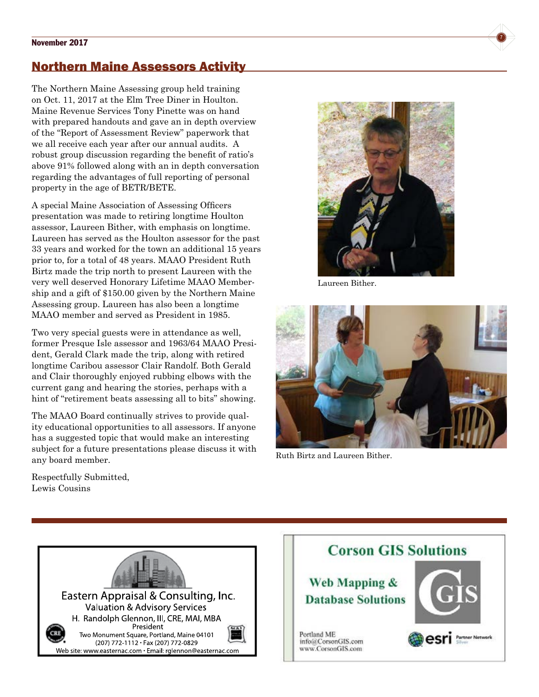### November 2017 **7**

### Northern Maine Assessors Activity

The Northern Maine Assessing group held training on Oct. 11, 2017 at the Elm Tree Diner in Houlton. Maine Revenue Services Tony Pinette was on hand with prepared handouts and gave an in depth overview of the "Report of Assessment Review" paperwork that we all receive each year after our annual audits. A robust group discussion regarding the benefit of ratio's above 91% followed along with an in depth conversation regarding the advantages of full reporting of personal property in the age of BETR/BETE.

A special Maine Association of Assessing Officers presentation was made to retiring longtime Houlton assessor, Laureen Bither, with emphasis on longtime. Laureen has served as the Houlton assessor for the past 33 years and worked for the town an additional 15 years prior to, for a total of 48 years. MAAO President Ruth Birtz made the trip north to present Laureen with the very well deserved Honorary Lifetime MAAO Membership and a gift of \$150.00 given by the Northern Maine Assessing group. Laureen has also been a longtime MAAO member and served as President in 1985.

Two very special guests were in attendance as well, former Presque Isle assessor and 1963/64 MAAO President, Gerald Clark made the trip, along with retired longtime Caribou assessor Clair Randolf. Both Gerald and Clair thoroughly enjoyed rubbing elbows with the current gang and hearing the stories, perhaps with a hint of "retirement beats assessing all to bits" showing.

The MAAO Board continually strives to provide quality educational opportunities to all assessors. If anyone has a suggested topic that would make an interesting subject for a future presentations please discuss it with any board member.



Laureen Bither.



Ruth Birtz and Laureen Bither.

Respectfully Submitted, Lewis Cousins